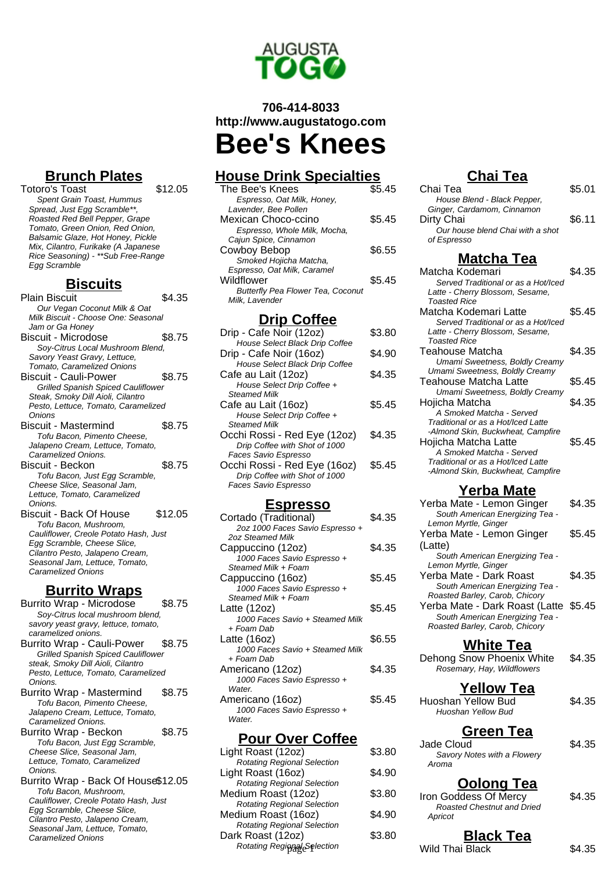

# **706-414-8033 http://www.augustatogo.com Bee's Knees**

## **House Drink Specialties**

| The Bee's Knees                          | \$5.45 |
|------------------------------------------|--------|
| Espresso, Oat Milk, Honey,               |        |
| Lavender, Bee Pollen                     |        |
| Mexican Choco-ccino                      | \$5.45 |
| Espresso, Whole Milk, Mocha,             |        |
| Cajun Spice, Cinnamon                    |        |
| Cowboy Bebop                             | \$6.55 |
| Smoked Hojicha Matcha,                   |        |
| Espresso, Oat Milk, Caramel              |        |
| Wildflower                               | \$5.45 |
| <b>Butterfly Pea Flower Tea, Coconut</b> |        |
| Milk. Lavender                           |        |
|                                          |        |

### **Drip Coffee**

| Drip - Cafe Noir (12oz)        | \$3.80 |
|--------------------------------|--------|
| House Select Black Drip Coffee |        |
| Drip - Cafe Noir (16oz)        | \$4.90 |
| House Select Black Drip Coffee |        |
| Cafe au Lait (12oz)            | \$4.35 |
| House Select Drip Coffee +     |        |
| <b>Steamed Milk</b>            |        |
| Cafe au Lait (16oz)            | \$5.45 |
| House Select Drip Coffee +     |        |
| <b>Steamed Milk</b>            |        |
| Occhi Rossi - Red Eye (12oz)   | \$4.35 |
| Drip Coffee with Shot of 1000  |        |
| Faces Savio Espresso           |        |
| Occhi Rossi - Red Eye (16oz)   | \$5.45 |
| Drip Coffee with Shot of 1000  |        |
| Faces Savio Espresso           |        |
|                                |        |

#### **Espresso**

| Cortado (Traditional)           | \$4.35 |
|---------------------------------|--------|
| 2oz 1000 Faces Savio Espresso + |        |
| 2oz Steamed Milk                |        |
| Cappuccino (12oz)               | \$4.35 |
| 1000 Faces Savio Espresso +     |        |
| Steamed Milk + Foam             |        |
| Cappuccino (16oz)               | \$5.45 |
| 1000 Faces Savio Espresso +     |        |
| Steamed Milk + Foam             |        |
| Latte (12oz)                    | \$5.45 |
| 1000 Faces Savio + Steamed Milk |        |
| + Foam Dab                      |        |
| Latte (16oz)                    | \$6.55 |
| 1000 Faces Savio + Steamed Milk |        |
| + Foam Dab                      |        |
| Americano (12oz)                | \$4.35 |
| 1000 Faces Savio Espresso +     |        |
| Water                           |        |
| Americano (16oz)                | \$5.45 |
| 1000 Faces Savio Espresso +     |        |
| Water.                          |        |
|                                 |        |

#### **Pour Over Coffee**

| \$3.80 | uuuu Uluu        | ພ⊤.ບບ                                                                                                                     |
|--------|------------------|---------------------------------------------------------------------------------------------------------------------------|
|        | Aroma            |                                                                                                                           |
|        |                  |                                                                                                                           |
|        |                  |                                                                                                                           |
|        |                  | \$4.35                                                                                                                    |
| \$4.90 |                  |                                                                                                                           |
|        |                  |                                                                                                                           |
| \$3.80 | <b>Black Tea</b> |                                                                                                                           |
|        | Wild Thai Black  | \$4.35                                                                                                                    |
|        | \$4.90<br>\$3.80 | Savory Notes with a Flowery<br><b>Oolong Tea</b><br>Iron Goddess Of Mercy<br><b>Roasted Chestnut and Dried</b><br>Apricot |

### **Chai Tea**

| . vu                                                                                                                                                                                                   |        |
|--------------------------------------------------------------------------------------------------------------------------------------------------------------------------------------------------------|--------|
| Chai Tea<br>House Blend - Black Pepper,<br>Ginger, Cardamom, Cinnamon                                                                                                                                  | \$5.01 |
| Dirty Chai<br>Our house blend Chai with a shot                                                                                                                                                         | \$6.11 |
| of Espresso                                                                                                                                                                                            |        |
| <b>Matcha Tea</b><br>Matcha Kodemari<br>Served Traditional or as a Hot/Iced<br>Latte - Cherry Blossom, Sesame,<br>Toasted Rice                                                                         | \$4.35 |
| Matcha Kodemari Latte<br>Served Traditional or as a Hot/Iced<br>Latte - Cherry Blossom, Sesame,<br>Toasted Rice                                                                                        | \$5.45 |
| Teahouse Matcha<br>Umami Sweetness, Boldly Creamy<br>Umami Sweetness, Boldly Creamy                                                                                                                    | \$4.35 |
| Teahouse Matcha Latte<br>Umami Sweetness, Boldly Creamy                                                                                                                                                | \$5.45 |
| Hojicha Matcha<br>A Smoked Matcha - Served                                                                                                                                                             | \$4.35 |
| Traditional or as a Hot/Iced Latte<br>-Almond Skin, Buckwheat, Campfire<br>Hojicha Matcha Latte<br>A Smoked Matcha - Served<br>Traditional or as a Hot/Iced Latte<br>-Almond Skin, Buckwheat, Campfire | \$5.45 |
| <b>Yerba Mate</b>                                                                                                                                                                                      |        |
| Yerba Mate - Lemon Ginger<br>South American Energizing Tea -<br>Lemon Myrtle, Ginger                                                                                                                   | \$4.35 |
| Yerba Mate - Lemon Ginger                                                                                                                                                                              | \$5.45 |
| (Latte)<br>South American Energizing Tea -<br>Lemon Myrtle, Ginger                                                                                                                                     |        |
| Yerba Mate - Dark Roast<br>South American Energizing Tea -                                                                                                                                             | \$4.35 |
| Roasted Barley, Carob, Chicory<br>Yerba Mate - Dark Roast (Latte<br>South American Energizing Tea -<br>Roasted Barley, Carob, Chicory                                                                  | \$5.45 |
| <b>White Tea</b>                                                                                                                                                                                       |        |
| Dehong Snow Phoenix White<br>Rosemary, Hay, Wildflowers                                                                                                                                                | \$4.35 |
| <b>Yellow Tea</b><br><b>Huoshan Yellow Bud</b><br>Huoshan Yellow Bud                                                                                                                                   | \$4.35 |
| Green Tea<br>Jade Cloud<br>Savory Notes with a Flowery<br>Aroma                                                                                                                                        | \$4.35 |
| <u>Oolong Tea</u><br>Iron Goddess Of Mercy<br>Roasted Chestnut and Dried<br>Apricot                                                                                                                    | \$4.35 |
| <b>Black Tea</b>                                                                                                                                                                                       |        |

### **Brunch Plates**

Totoro's Toast \$12.05 Spent Grain Toast, Hummus Spread, Just Egg Scramble\*\*, Roasted Red Bell Pepper, Grape Tomato, Green Onion, Red Onion, Balsamic Glaze, Hot Honey, Pickle Mix, Cilantro, Furikake (A Japanese Rice Seasoning) - \*\*Sub Free-Range Egg Scramble

#### **Biscuits**

| Plain Biscuit                             | \$4.35  |
|-------------------------------------------|---------|
| Our Vegan Coconut Milk & Oat              |         |
| Milk Biscuit - Choose One: Seasonal       |         |
| Jam or Ga Honey                           |         |
| <b>Biscuit - Microdose</b>                | \$8.75  |
| Soy-Citrus Local Mushroom Blend,          |         |
| Savory Yeast Gravy, Lettuce,              |         |
| Tomato, Caramelized Onions                |         |
| Biscuit - Cauli-Power                     | \$8.75  |
| <b>Grilled Spanish Spiced Cauliflower</b> |         |
| Steak, Smoky Dill Aioli, Cilantro         |         |
| Pesto, Lettuce, Tomato, Caramelized       |         |
| Onions                                    |         |
| Biscuit - Mastermind                      | \$8.75  |
| Tofu Bacon, Pimento Cheese,               |         |
| Jalapeno Cream, Lettuce, Tomato,          |         |
| Caramelized Onions.                       |         |
| Biscuit - Beckon                          | \$8.75  |
| Tofu Bacon, Just Egg Scramble,            |         |
| Cheese Slice, Seasonal Jam,               |         |
| Lettuce, Tomato, Caramelized              |         |
| Onions.                                   |         |
| Biscuit - Back Of House                   | \$12.05 |
| Tofu Bacon, Mushroom,                     |         |
| Cauliflower, Creole Potato Hash, Just     |         |
| Egg Scramble, Cheese Slice,               |         |
| Cilantro Pesto, Jalapeno Cream,           |         |
| Seasonal Jam, Lettuce, Tomato,            |         |
| <b>Caramelized Onions</b>                 |         |

## **Burrito Wraps**

| Burrito Wrap - Microdose                  | \$8.75 |
|-------------------------------------------|--------|
| Soy-Citrus local mushroom blend,          |        |
| savory yeast gravy, lettuce, tomato,      |        |
| caramelized onions.                       |        |
| Burrito Wrap - Cauli-Power                | \$8.75 |
| <b>Grilled Spanish Spiced Cauliflower</b> |        |
| steak, Smoky Dill Aioli, Cilantro         |        |
| Pesto, Lettuce, Tomato, Caramelized       |        |
| Onions.                                   |        |
| Burrito Wrap - Mastermind                 | \$8.75 |
| Tofu Bacon, Pimento Cheese,               |        |
| Jalapeno Cream, Lettuce, Tomato,          |        |
| Caramelized Onions.                       |        |
| Burrito Wrap - Beckon                     | \$8.75 |
| Tofu Bacon, Just Egg Scramble,            |        |
| Cheese Slice, Seasonal Jam,               |        |
| Lettuce, Tomato, Caramelized              |        |
| Onions.                                   |        |
| Burrito Wrap - Back Of House\$12.05       |        |
| Tofu Bacon, Mushroom,                     |        |
| Cauliflower, Creole Potato Hash, Just     |        |
| Egg Scramble, Cheese Slice,               |        |
| Cilantro Pesto, Jalapeno Cream,           |        |
| Seasonal Jam, Lettuce, Tomato,            |        |
| <b>Caramelized Onions</b>                 |        |
|                                           |        |